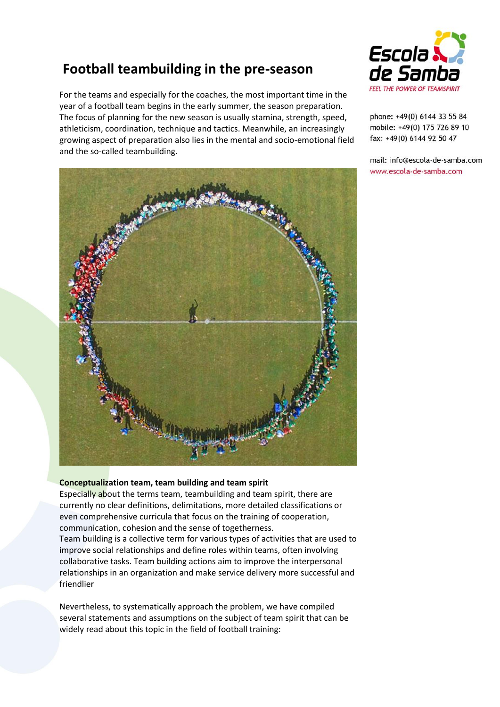# **Football teambuilding in the pre-season**

For the teams and especially for the coaches, the most important time in the year of a football team begins in the early summer, the season preparation. The focus of planning for the new season is usually stamina, strength, speed, athleticism, coordination, technique and tactics. Meanwhile, an increasingly growing aspect of preparation also lies in the mental and socio-emotional field and the so-called teambuilding.





phone: +49(0) 6144 33 55 84 mobile: +49(0) 175 726 89 10 fax: +49(0) 6144 92 50 47

mail: info@escola-de-samba.com www.escola-de-samba.com

## **Conceptualization team, team building and team spirit**

Especially about the terms team, teambuilding and team spirit, there are currently no clear definitions, delimitations, more detailed classifications or even comprehensive curricula that focus on the training of cooperation, communication, cohesion and the sense of togetherness.

Team building is a collective term for various types of activities that are used to improve social relationships and define roles within teams, often involving collaborative tasks. Team building actions aim to improve the interpersonal relationships in an organization and make service delivery more successful and friendlier

Nevertheless, to systematically approach the problem, we have compiled several statements and assumptions on the subject of team spirit that can be widely read about this topic in the field of football training: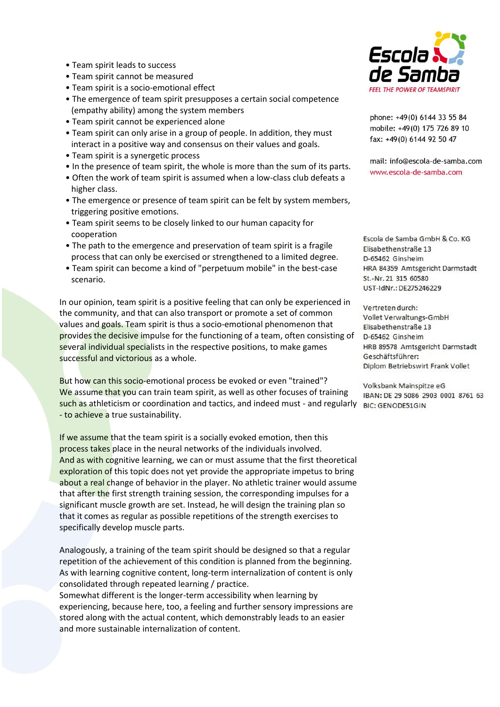- Team spirit leads to success
- Team spirit cannot be measured
- Team spirit is a socio-emotional effect
- The emergence of team spirit presupposes a certain social competence (empathy ability) among the system members
- Team spirit cannot be experienced alone
- Team spirit can only arise in a group of people. In addition, they must interact in a positive way and consensus on their values and goals.
- Team spirit is a synergetic process
- In the presence of team spirit, the whole is more than the sum of its parts.
- Often the work of team spirit is assumed when a low-class club defeats a higher class.
- The emergence or presence of team spirit can be felt by system members, triggering positive emotions.
- Team spirit seems to be closely linked to our human capacity for cooperation
- The path to the emergence and preservation of team spirit is a fragile process that can only be exercised or strengthened to a limited degree.
- Team spirit can become a kind of "perpetuum mobile" in the best-case scenario.

In our opinion, team spirit is a positive feeling that can only be experienced in the community, and that can also transport or promote a set of common values and goals. Team spirit is thus a socio-emotional phenomenon that provides the decisive impulse for the functioning of a team, often consisting of several individual specialists in the respective positions, to make games successful and victorious as a whole.

But how can this socio-emotional process be evoked or even "trained"? We assume that you can train team spirit, as well as other focuses of training such as athleticism or coordination and tactics, and indeed must - and regularly BIC: GENODE51GIN - to achieve a true sustainability.

If we assume that the team spirit is a socially evoked emotion, then this process takes place in the neural networks of the individuals involved. And as with cognitive learning, we can or must assume that the first theoretical exploration of this topic does not yet provide the appropriate impetus to bring about a real change of behavior in the player. No athletic trainer would assume that after the first strength training session, the corresponding impulses for a significant muscle growth are set. Instead, he will design the training plan so that it comes as regular as possible repetitions of the strength exercises to specifically develop muscle parts.

Analogously, a training of the team spirit should be designed so that a regular repetition of the achievement of this condition is planned from the beginning. As with learning cognitive content, long-term internalization of content is only consolidated through repeated learning / practice.

Somewhat different is the longer-term accessibility when learning by experiencing, because here, too, a feeling and further sensory impressions are stored along with the actual content, which demonstrably leads to an easier and more sustainable internalization of content.



phone: +49(0) 6144 33 55 84 mobile: +49(0) 175 726 89 10 fax: +49(0) 6144 92 50 47

mail: info@escola-de-samba.com www.escola-de-samba.com

Escola de Samba GmbH & Co. KG Elisabethenstraße 13 D-65462 Ginsheim HRA 84359 Amtsgericht Darmstadt St.-Nr. 21 315 60580 UST-IdNr.: DE275246229

Vertreten durch: Vollet Verwaltungs-GmbH Elisabethenstraße 13 D-65462 Ginsheim HRB 89578 Amtsgericht Darmstadt Geschäftsführer: Diplom Betriebswirt Frank Vollet

Volksbank Mainspitze eG IBAN: DE 29 5086 2903 0001 8761 63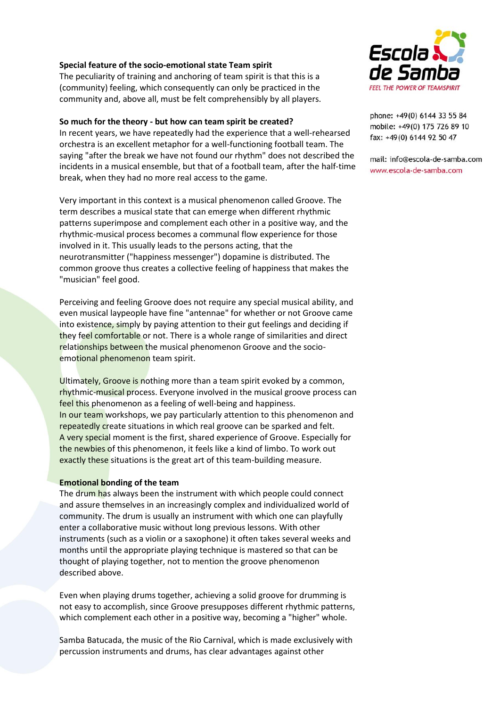### **Special feature of the socio-emotional state Team spirit**

The peculiarity of training and anchoring of team spirit is that this is a (community) feeling, which consequently can only be practiced in the community and, above all, must be felt comprehensibly by all players.

#### **So much for the theory - but how can team spirit be created?**

In recent years, we have repeatedly had the experience that a well-rehearsed orchestra is an excellent metaphor for a well-functioning football team. The saying "after the break we have not found our rhythm" does not described the incidents in a musical ensemble, but that of a football team, after the half-time break, when they had no more real access to the game.

Very important in this context is a musical phenomenon called Groove. The term describes a musical state that can emerge when different rhythmic patterns superimpose and complement each other in a positive way, and the rhythmic-musical process becomes a communal flow experience for those involved in it. This usually leads to the persons acting, that the neurotransmitter ("happiness messenger") dopamine is distributed. The common groove thus creates a collective feeling of happiness that makes the "musician" feel good.

Perceiving and feeling Groove does not require any special musical ability, and even musical laypeople have fine "antennae" for whether or not Groove came into existence, simply by paying attention to their gut feelings and deciding if they feel comfortable or not. There is a whole range of similarities and direct relationships between the musical phenomenon Groove and the socioemotional phenomenon team spirit.

Ultimately, Groove is nothing more than a team spirit evoked by a common, rhythmic-musical process. Everyone involved in the musical groove process can feel this phenomenon as a feeling of well-being and happiness. In our team workshops, we pay particularly attention to this phenomenon and repeatedly create situations in which real groove can be sparked and felt. A very special moment is the first, shared experience of Groove. Especially for the newbies of this phenomenon, it feels like a kind of limbo. To work out exactly these situations is the great art of this team-building measure.

#### **Emotional bonding of the team**

The drum has always been the instrument with which people could connect and assure themselves in an increasingly complex and individualized world of community. The drum is usually an instrument with which one can playfully enter a collaborative music without long previous lessons. With other instruments (such as a violin or a saxophone) it often takes several weeks and months until the appropriate playing technique is mastered so that can be thought of playing together, not to mention the groove phenomenon described above.

Even when playing drums together, achieving a solid groove for drumming is not easy to accomplish, since Groove presupposes different rhythmic patterns, which complement each other in a positive way, becoming a "higher" whole.

Samba Batucada, the music of the Rio Carnival, which is made exclusively with percussion instruments and drums, has clear advantages against other



phone: +49(0) 6144 33 55 84 mobile: +49(0) 175 726 89 10 fax: +49(0) 6144 92 50 47

mail: info@escola-de-samba.com www.escola-de-samba.com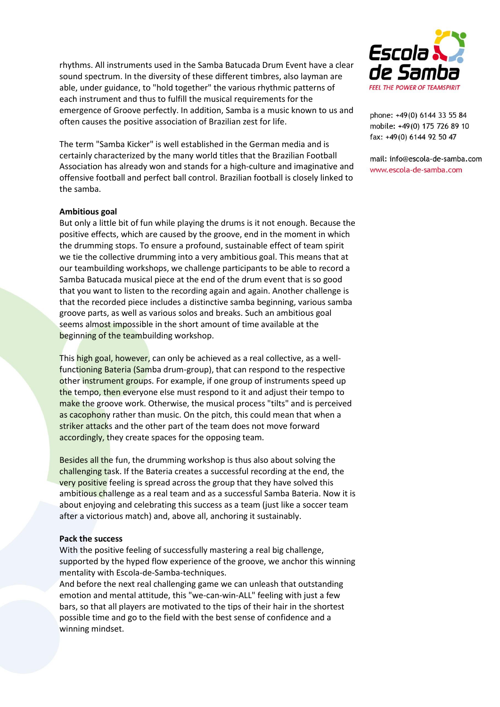rhythms. All instruments used in the Samba Batucada Drum Event have a clear sound spectrum. In the diversity of these different timbres, also layman are able, under guidance, to "hold together" the various rhythmic patterns of each instrument and thus to fulfill the musical requirements for the emergence of Groove perfectly. In addition, Samba is a music known to us and often causes the positive association of Brazilian zest for life.

The term "Samba Kicker" is well established in the German media and is certainly characterized by the many world titles that the Brazilian Football Association has already won and stands for a high-culture and imaginative and offensive football and perfect ball control. Brazilian football is closely linked to the samba.

#### **Ambitious goal**

But only a little bit of fun while playing the drums is it not enough. Because the positive effects, which are caused by the groove, end in the moment in which the drumming stops. To ensure a profound, sustainable effect of team spirit we tie the collective drumming into a very ambitious goal. This means that at our teambuilding workshops, we challenge participants to be able to record a Samba Batucada musical piece at the end of the drum event that is so good that you want to listen to the recording again and again. Another challenge is that the recorded piece includes a distinctive samba beginning, various samba groove parts, as well as various solos and breaks. Such an ambitious goal seems almost impossible in the short amount of time available at the beginning of the teambuilding workshop.

This high goal, however, can only be achieved as a real collective, as a wellfunctioning Bateria (Samba drum-group), that can respond to the respective other instrument groups. For example, if one group of instruments speed up the tempo, then everyone else must respond to it and adjust their tempo to make the groove work. Otherwise, the musical process "tilts" and is perceived as cacophony rather than music. On the pitch, this could mean that when a striker attacks and the other part of the team does not move forward accordingly, they create spaces for the opposing team.

Besides all the fun, the drumming workshop is thus also about solving the challenging task. If the Bateria creates a successful recording at the end, the very positive feeling is spread across the group that they have solved this ambitious challenge as a real team and as a successful Samba Bateria. Now it is about enjoying and celebrating this success as a team (just like a soccer team after a victorious match) and, above all, anchoring it sustainably.

#### **Pack the success**

With the positive feeling of successfully mastering a real big challenge, supported by the hyped flow experience of the groove, we anchor this winning mentality with Escola-de-Samba-techniques.

And before the next real challenging game we can unleash that outstanding emotion and mental attitude, this "we-can-win-ALL" feeling with just a few bars, so that all players are motivated to the tips of their hair in the shortest possible time and go to the field with the best sense of confidence and a winning mindset.



phone: +49(0) 6144 33 55 84 mobile: +49(0) 175 726 89 10 fax: +49(0) 6144 92 50 47

mail: info@escola-de-samba.com www.escola-de-samba.com